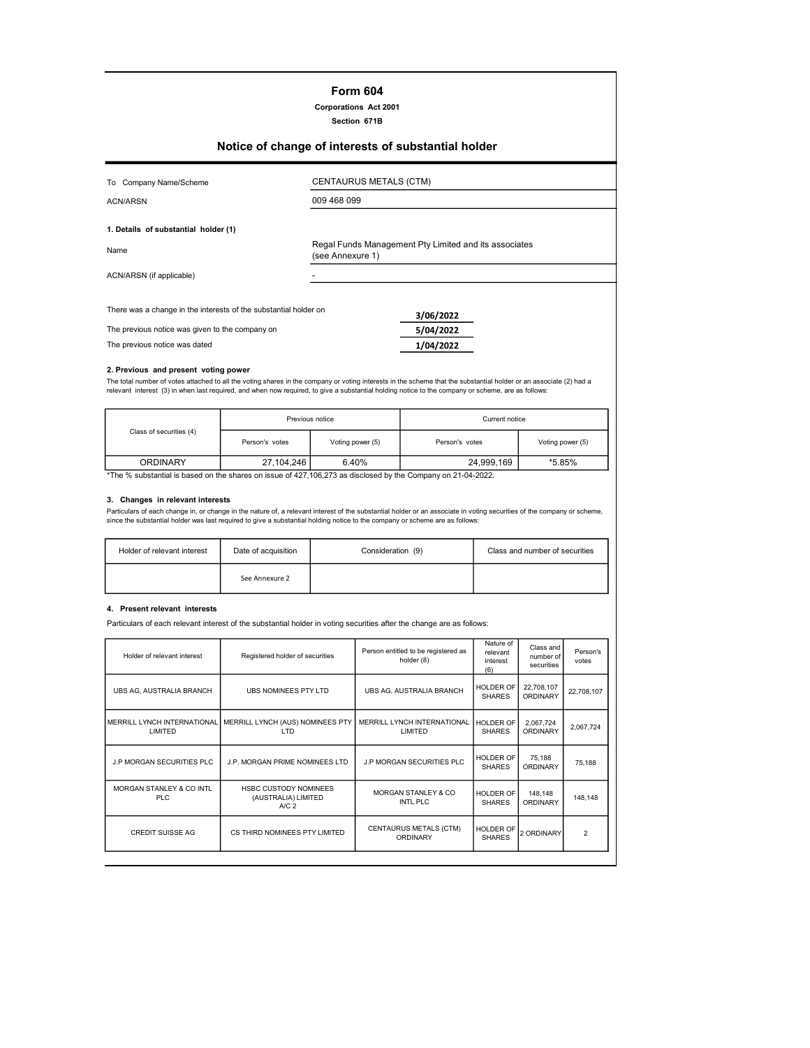## Form 604

Corporations Act 2001

Section 671B

# Notice of change of interests of substantial holder

| To Company Name/Scheme                                           |                  | CENTAURUS METALS (CTM)                                |  |
|------------------------------------------------------------------|------------------|-------------------------------------------------------|--|
| <b>ACN/ARSN</b>                                                  | 009 468 099      |                                                       |  |
| 1. Details of substantial holder (1)                             |                  |                                                       |  |
| Name                                                             | (see Annexure 1) | Regal Funds Management Pty Limited and its associates |  |
| ACN/ARSN (if applicable)                                         |                  |                                                       |  |
|                                                                  |                  |                                                       |  |
| There was a change in the interests of the substantial holder on |                  | 3/06/2022                                             |  |
| The previous notice was given to the company on                  |                  | 5/04/2022                                             |  |
| The previous notice was dated                                    |                  | 1/04/2022                                             |  |
|                                                                  |                  |                                                       |  |

# 2. Previous and present voting power

The total number of votes attached to all the voting shares in the company or voting interests in the scheme that the substantial holder or an associate (2) had a<br>relevant interest (3) in when last required, and when now

| Previous notice                                                                                                     |                |                  | Current notice |                  |  |
|---------------------------------------------------------------------------------------------------------------------|----------------|------------------|----------------|------------------|--|
| Class of securities (4)                                                                                             | Person's votes | Voting power (5) | Person's votes | Voting power (5) |  |
| <b>ORDINARY</b>                                                                                                     | 27.104.246     | 6.40%            | 24.999.169     | *5.85%           |  |
| $*$ The $\theta$ coloring to be red on the change on issue of 407,400,079 as disclosed butter Company on 04,04,0000 |                |                  |                |                  |  |

\*The % substantial is based on the shares on issue of 427,106,273 as disclosed by the Company on 21-04-2022.

#### 3. Changes in relevant interests

Particulars of each change in, or change in the nature of, a relevant interest of the substantial holder or an associate in voting securities of the company or scheme,<br>since the substantial holder was last required to give

| Holder of relevant interest | Date of acquisition | Consideration (9) | Class and number of securities |
|-----------------------------|---------------------|-------------------|--------------------------------|
|                             | See Annexure 2      |                   |                                |

## 4. Present relevant interests

Particulars of each relevant interest of the substantial holder in voting securities after the change are as follows:

| Holder of relevant interest                 | Registered holder of securities                                         | Person entitled to be registered as<br>holder (8) | Nature of<br>relevant<br>interest<br>(6) | Class and<br>number of<br>securities | Person's<br>votes |
|---------------------------------------------|-------------------------------------------------------------------------|---------------------------------------------------|------------------------------------------|--------------------------------------|-------------------|
| UBS AG, AUSTRALIA BRANCH                    | <b>UBS NOMINEES PTY LTD</b>                                             | UBS AG, AUSTRALIA BRANCH                          | HOLDER OF<br><b>SHARES</b>               | 22,708,107<br><b>ORDINARY</b>        | 22,708,107        |
| MERRILL LYNCH INTERNATIONAL<br>LIMITED      | MERRILL LYNCH (AUS) NOMINEES PTY<br>LTD.                                | MERRILL LYNCH INTERNATIONAL<br>LIMITED            | <b>HOLDER OF</b><br><b>SHARES</b>        | 2,067,724<br><b>ORDINARY</b>         | 2,067,724         |
| <b>J.P MORGAN SECURITIES PLC</b>            | J.P. MORGAN PRIME NOMINEES LTD                                          | <b>J.P MORGAN SECURITIES PLC</b>                  | <b>HOLDER OF</b><br><b>SHARES</b>        | 75,188<br>ORDINARY                   | 75,188            |
| <b>MORGAN STANLEY &amp; CO INTL</b><br>PLC. | <b>HSBC CUSTODY NOMINEES</b><br>(AUSTRALIA) LIMITED<br>A/C <sub>2</sub> | MORGAN STANLEY & CO<br>INTL PLC                   | HOLDER OF<br><b>SHARES</b>               | 148,148<br>ORDINARY                  | 148,148           |
| <b>CREDIT SUISSE AG</b>                     | CS THIRD NOMINEES PTY LIMITED                                           | CENTAURUS METALS (CTM)<br>ORDINARY                | <b>HOLDER OF</b><br><b>SHARES</b>        | 2 ORDINARY                           | $\overline{2}$    |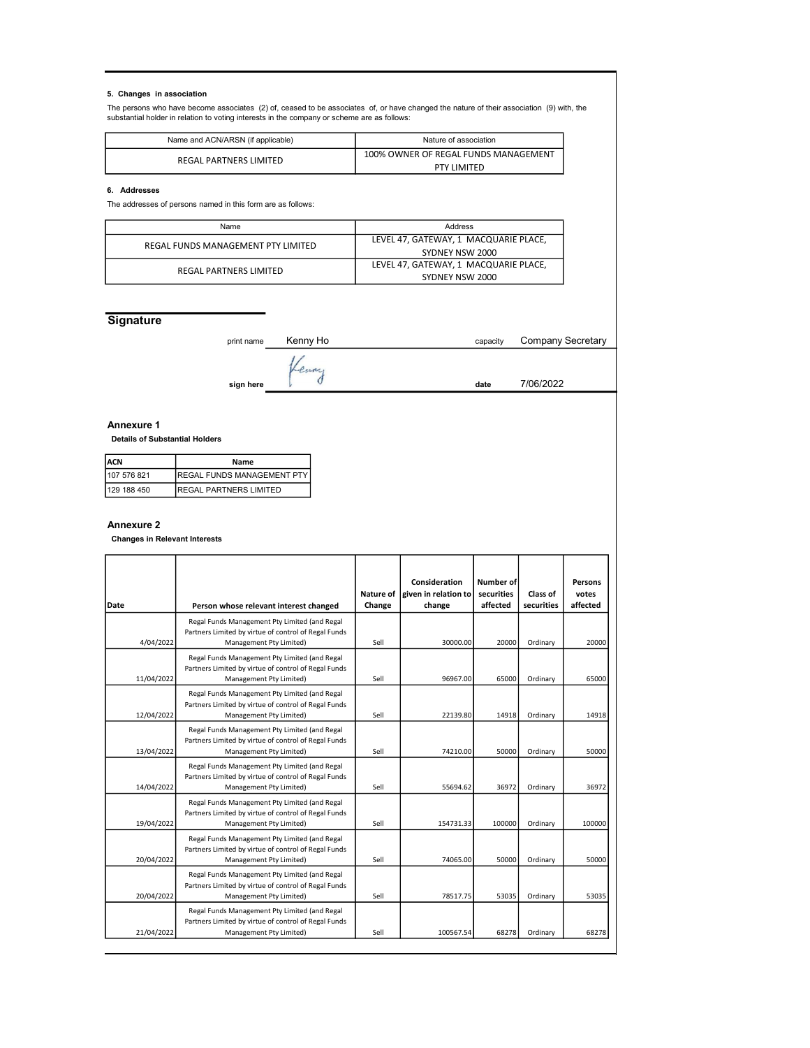# 5. Changes in association

The persons who have become associates (2) of, ceased to be associates of, or have changed the nature of their association (9) with, the<br>substantial holder in relation to voting interests in the company or scheme are as

| Name and ACN/ARSN (if applicable) | Nature of association                |  |  |
|-----------------------------------|--------------------------------------|--|--|
| REGAL PARTNERS LIMITED            | 100% OWNER OF REGAL FUNDS MANAGEMENT |  |  |
|                                   | <b>PTY LIMITED</b>                   |  |  |

#### 6. Addresses

The addresses of persons named in this form are as follows:

| Name                               | Address                               |  |  |
|------------------------------------|---------------------------------------|--|--|
| REGAL FUNDS MANAGEMENT PTY LIMITED | LEVEL 47, GATEWAY, 1 MACQUARIE PLACE, |  |  |
|                                    | SYDNEY NSW 2000                       |  |  |
| REGAL PARTNERS LIMITED             | LEVEL 47, GATEWAY, 1 MACQUARIE PLACE, |  |  |
|                                    | SYDNEY NSW 2000                       |  |  |

# **Signature**

| print name | Kenny Ho | capacity | <b>Company Secretary</b> |
|------------|----------|----------|--------------------------|
|            | renny    |          |                          |
| sign here  |          | date     | 7/06/2022                |

#### Annexure 1

#### Details of Substantial Holders

| <b>IACN</b>  | Name                          |
|--------------|-------------------------------|
| 1107 576 821 | IREGAL FUNDS MANAGEMENT PTY I |
| 129 188 450  | IREGAL PARTNERS LIMITED       |

# Annexure 2

Changes in Relevant Interests

| Date       | Person whose relevant interest changed                                                                                           | Nature of<br>Change | Consideration<br>given in relation to<br>change | Number of<br>securities<br>affected | Class of<br>securities | Persons<br>votes<br>affected |
|------------|----------------------------------------------------------------------------------------------------------------------------------|---------------------|-------------------------------------------------|-------------------------------------|------------------------|------------------------------|
| 4/04/2022  | Regal Funds Management Pty Limited (and Regal<br>Partners Limited by virtue of control of Regal Funds<br>Management Pty Limited) | Sell                | 30000.00                                        | 20000                               | Ordinary               | 20000                        |
| 11/04/2022 | Regal Funds Management Pty Limited (and Regal<br>Partners Limited by virtue of control of Regal Funds<br>Management Pty Limited) | Sell                | 96967.00                                        | 65000                               | Ordinary               | 65000                        |
| 12/04/2022 | Regal Funds Management Pty Limited (and Regal<br>Partners Limited by virtue of control of Regal Funds<br>Management Pty Limited) | Sell                | 22139.80                                        | 14918                               | Ordinary               | 14918                        |
| 13/04/2022 | Regal Funds Management Pty Limited (and Regal<br>Partners Limited by virtue of control of Regal Funds<br>Management Pty Limited) | Sell                | 74210.00                                        | 50000                               | Ordinary               | 50000                        |
| 14/04/2022 | Regal Funds Management Pty Limited (and Regal<br>Partners Limited by virtue of control of Regal Funds<br>Management Pty Limited) | Sell                | 55694.62                                        | 36972                               | Ordinary               | 36972                        |
| 19/04/2022 | Regal Funds Management Pty Limited (and Regal<br>Partners Limited by virtue of control of Regal Funds<br>Management Pty Limited) | Sell                | 154731.33                                       | 100000                              | Ordinary               | 100000                       |
| 20/04/2022 | Regal Funds Management Pty Limited (and Regal<br>Partners Limited by virtue of control of Regal Funds<br>Management Pty Limited) | Sell                | 74065.00                                        | 50000                               | Ordinary               | 50000                        |
| 20/04/2022 | Regal Funds Management Pty Limited (and Regal<br>Partners Limited by virtue of control of Regal Funds<br>Management Pty Limited) | Sell                | 78517.75                                        | 53035                               | Ordinary               | 53035                        |
| 21/04/2022 | Regal Funds Management Pty Limited (and Regal<br>Partners Limited by virtue of control of Regal Funds<br>Management Pty Limited) | Sell                | 100567.54                                       | 68278                               | Ordinary               | 68278                        |